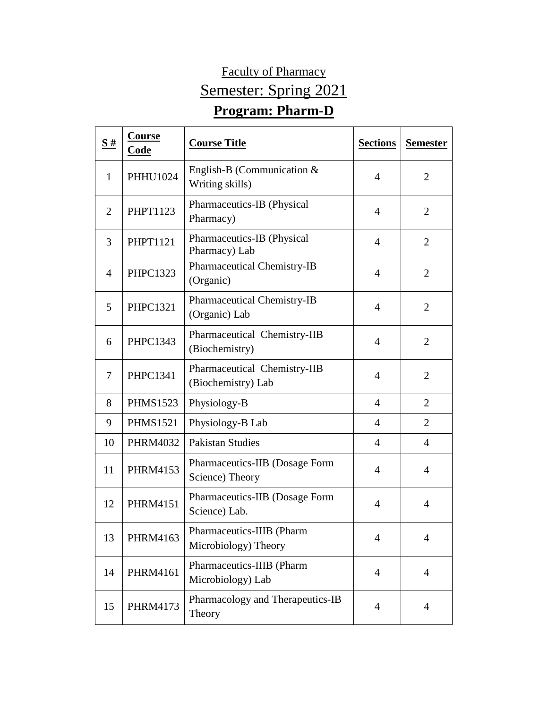## Faculty of Pharmacy Semester: Spring 2021 **Program: Pharm-D**

## $\frac{\mathbf{S} \#}{\mathbf{S} \cdot \mathbf{A}}$  **Course Course Title Sections Sections Semester** 1 PHHU1024 English-B (Communication &  $\frac{2}{\text{Writing skills}}$ 2 | PHPT1123 | Pharmaceutics-IB (Physical Pharmacy) 4 2<br>Pharmacy)  $\overline{3}$  PHPT1121 Pharmaceutics-IB (Physical Pharmacy) Lab 4 2 4 PHPC1323 Pharmaceutical Chemistry-IB  $(Organic)$   $4$   $2$  $\frac{1}{5}$  PHPC1321 Pharmaceutical Chemistry-IB (Organic) Lab  $\begin{vmatrix} 4 & 2 \end{vmatrix}$ 6 PHPC1343 Pharmaceutical Chemistry-IIB  $\begin{array}{|c|c|c|c|c|}\n\hline\n\text{Hamlaceated elementsary } \text{ID} & 4 & 2 \\
\hline\n\end{array}$ 7 **PHPC1341** Pharmaceutical Chemistry-IIB (Biochemistry) Lab 12 8 PHMS1523 Physiology-B 4 2 9 | PHMS1521 | Physiology-B Lab  $\begin{array}{|c|c|c|c|c|c|c|c|c|} \hline \end{array}$  4 | 2 10 PHRM4032 Pakistan Studies 1 4 4 4 11 | PHRM4153 | Pharmaceutics-IIB (Dosage Form Science) Theory 1988 and 1988 and 1988 and 1988 and 1988 and 1988 and 1988 and 1988 and 1988 and 1988 and 1988 and 1988 and 1988 and 1988 and 1988 and 1988 and 1988 and 1988 and 1988 and 1988 and 1988 and 1988 and 1988 and 12 **PHRM4151** Pharmaceutics-IIB (Dosage Form Science) Lab. (bosage Form 4 4 4 4 13 PHRM4163 Pharmaceutics-IIIB (Pharm Microbiology) Theory 1988 14 PHRM4161 Pharmaceutics-IIIB (Pharm Microbiology) Lab 1 4 4 15 PHRM4173 Pharmacology and Therapeutics-IB<br>Theory Theory <sup>4</sup> <sup>4</sup>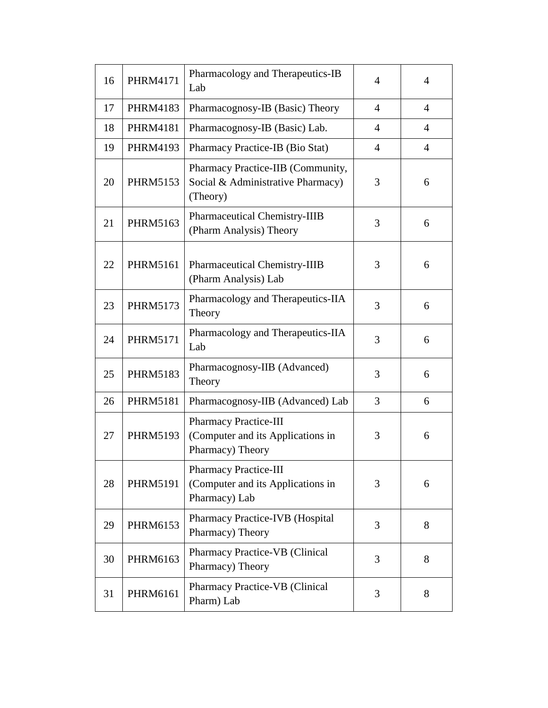| 16 | <b>PHRM4171</b> | Pharmacology and Therapeutics-IB<br>Lab                                               | $\overline{4}$ | 4              |
|----|-----------------|---------------------------------------------------------------------------------------|----------------|----------------|
| 17 | <b>PHRM4183</b> | Pharmacognosy-IB (Basic) Theory                                                       | $\overline{4}$ | $\overline{4}$ |
| 18 | <b>PHRM4181</b> | Pharmacognosy-IB (Basic) Lab.                                                         | 4              | $\overline{4}$ |
| 19 | <b>PHRM4193</b> | Pharmacy Practice-IB (Bio Stat)                                                       | $\overline{4}$ | $\overline{4}$ |
| 20 | <b>PHRM5153</b> | Pharmacy Practice-IIB (Community,<br>Social & Administrative Pharmacy)<br>(Theory)    | 3              | 6              |
| 21 | <b>PHRM5163</b> | Pharmaceutical Chemistry-IIIB<br>(Pharm Analysis) Theory                              | 3              | 6              |
| 22 | <b>PHRM5161</b> | <b>Pharmaceutical Chemistry-IIIB</b><br>(Pharm Analysis) Lab                          | 3              | 6              |
| 23 | <b>PHRM5173</b> | Pharmacology and Therapeutics-IIA<br>Theory                                           | 3              | 6              |
| 24 | <b>PHRM5171</b> | Pharmacology and Therapeutics-IIA<br>Lab                                              | 3              | 6              |
| 25 | <b>PHRM5183</b> | Pharmacognosy-IIB (Advanced)<br>Theory                                                | 3              | 6              |
| 26 | <b>PHRM5181</b> | Pharmacognosy-IIB (Advanced) Lab                                                      | 3              | 6              |
| 27 | <b>PHRM5193</b> | <b>Pharmacy Practice-III</b><br>(Computer and its Applications in<br>Pharmacy) Theory | 3              | 6              |
| 28 | <b>PHRM5191</b> | Pharmacy Practice-III<br>(Computer and its Applications in<br>Pharmacy) Lab           | 3              | 6              |
| 29 | PHRM6153        | Pharmacy Practice-IVB (Hospital<br>Pharmacy) Theory                                   | 3              | 8              |
| 30 | PHRM6163        | Pharmacy Practice-VB (Clinical<br>Pharmacy) Theory                                    | 3              | 8              |
| 31 | PHRM6161        | Pharmacy Practice-VB (Clinical<br>Pharm) Lab                                          | 3              | 8              |